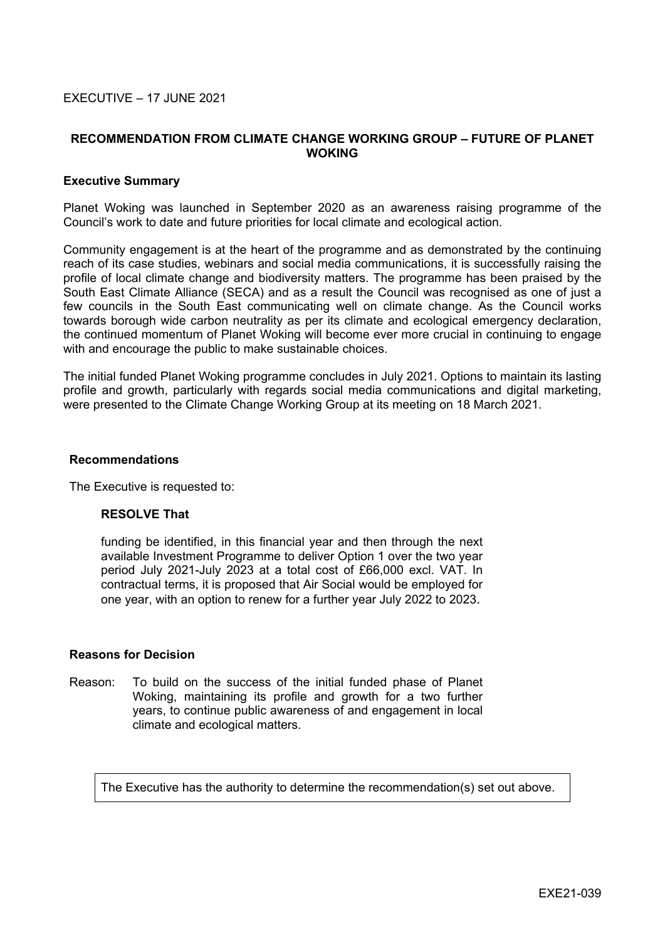### EXECUTIVE – 17 JUNE 2021

### **RECOMMENDATION FROM CLIMATE CHANGE WORKING GROUP – FUTURE OF PLANET WOKING**

#### **Executive Summary**

Planet Woking was launched in September 2020 as an awareness raising programme of the Council's work to date and future priorities for local climate and ecological action.

Community engagement is at the heart of the programme and as demonstrated by the continuing reach of its case studies, webinars and social media communications, it is successfully raising the profile of local climate change and biodiversity matters. The programme has been praised by the South East Climate Alliance (SECA) and as a result the Council was recognised as one of just a few councils in the South East communicating well on climate change. As the Council works towards borough wide carbon neutrality as per its climate and ecological emergency declaration, the continued momentum of Planet Woking will become ever more crucial in continuing to engage with and encourage the public to make sustainable choices.

The initial funded Planet Woking programme concludes in July 2021. Options to maintain its lasting profile and growth, particularly with regards social media communications and digital marketing, were presented to the Climate Change Working Group at its meeting on 18 March 2021.

#### **Recommendations**

The Executive is requested to:

#### **RESOLVE That**

funding be identified, in this financial year and then through the next available Investment Programme to deliver Option 1 over the two year period July 2021-July 2023 at a total cost of £66,000 excl. VAT. In contractual terms, it is proposed that Air Social would be employed for one year, with an option to renew for a further year July 2022 to 2023.

#### **Reasons for Decision**

Reason: To build on the success of the initial funded phase of Planet Woking, maintaining its profile and growth for a two further years, to continue public awareness of and engagement in local climate and ecological matters.

The Executive has the authority to determine the recommendation(s) set out above.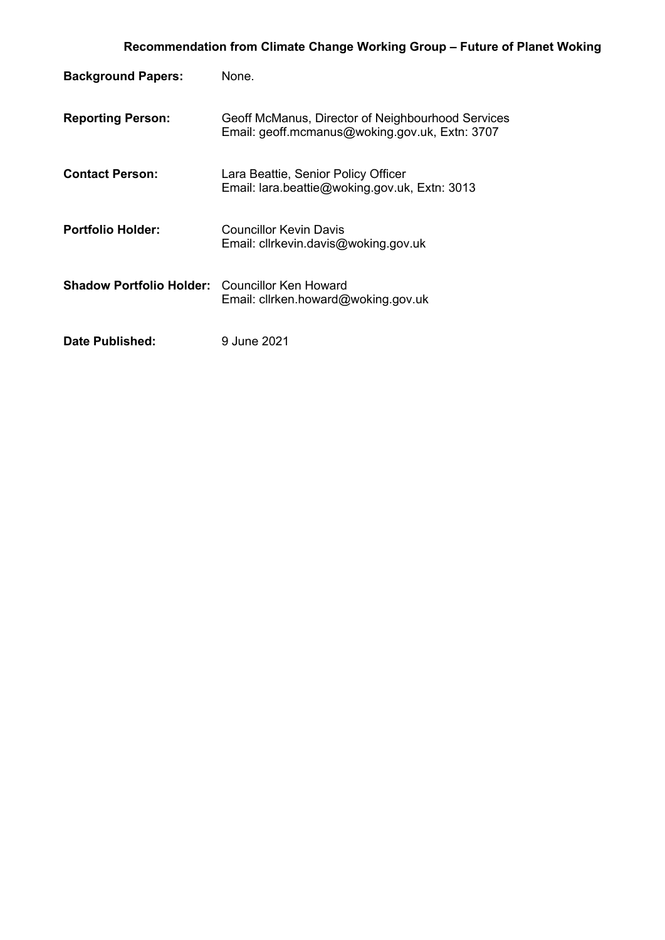| <b>Background Papers:</b>                             | None.                                                                                               |
|-------------------------------------------------------|-----------------------------------------------------------------------------------------------------|
| <b>Reporting Person:</b>                              | Geoff McManus, Director of Neighbourhood Services<br>Email: geoff.mcmanus@woking.gov.uk, Extn: 3707 |
| <b>Contact Person:</b>                                | Lara Beattie, Senior Policy Officer<br>Email: lara.beattie@woking.gov.uk, Extn: 3013                |
| <b>Portfolio Holder:</b>                              | Councillor Kevin Davis<br>Email: cllrkevin.davis@woking.gov.uk                                      |
| <b>Shadow Portfolio Holder:</b> Councillor Ken Howard | Email: clirken.howard@woking.gov.uk                                                                 |
| Date Published:                                       | 9 June 2021                                                                                         |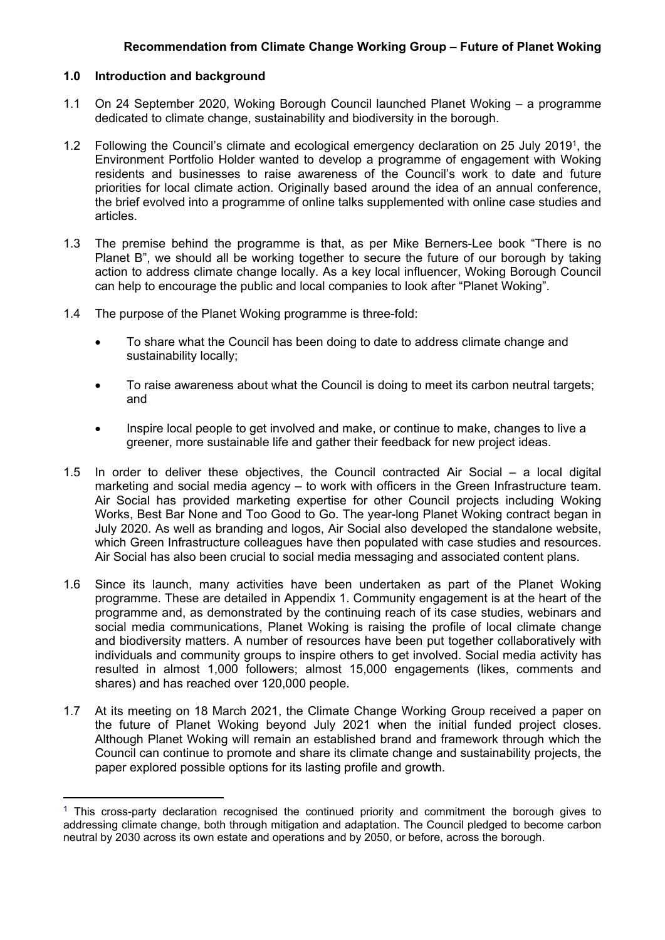## **1.0 Introduction and background**

- 1.1 On 24 September 2020, Woking Borough Council launched Planet Woking a programme dedicated to climate change, sustainability and biodiversity in the borough.
- 1.2 Following the Council's climate and ecological emergency declaration on 25 July 2019<sup>1</sup>, the Environment Portfolio Holder wanted to develop a programme of engagement with Woking residents and businesses to raise awareness of the Council's work to date and future priorities for local climate action. Originally based around the idea of an annual conference, the brief evolved into a programme of online talks supplemented with online case studies and articles.
- 1.3 The premise behind the programme is that, as per Mike Berners-Lee book "There is no Planet B", we should all be working together to secure the future of our borough by taking action to address climate change locally. As a key local influencer, Woking Borough Council can help to encourage the public and local companies to look after "Planet Woking".
- 1.4 The purpose of the Planet Woking programme is three-fold:
	- To share what the Council has been doing to date to address climate change and sustainability locally;
	- To raise awareness about what the Council is doing to meet its carbon neutral targets; and
	- Inspire local people to get involved and make, or continue to make, changes to live a greener, more sustainable life and gather their feedback for new project ideas.
- 1.5 In order to deliver these objectives, the Council contracted Air Social a local digital marketing and social media agency – to work with officers in the Green Infrastructure team. Air Social has provided marketing expertise for other Council projects including Woking Works, Best Bar None and Too Good to Go. The year-long Planet Woking contract began in July 2020. As well as branding and logos, Air Social also developed the standalone website, which Green Infrastructure colleagues have then populated with case studies and resources. Air Social has also been crucial to social media messaging and associated content plans.
- 1.6 Since its launch, many activities have been undertaken as part of the Planet Woking programme. These are detailed in Appendix 1. Community engagement is at the heart of the programme and, as demonstrated by the continuing reach of its case studies, webinars and social media communications, Planet Woking is raising the profile of local climate change and biodiversity matters. A number of resources have been put together collaboratively with individuals and community groups to inspire others to get involved. Social media activity has resulted in almost 1,000 followers; almost 15,000 engagements (likes, comments and shares) and has reached over 120,000 people.
- 1.7 At its meeting on 18 March 2021, the Climate Change Working Group received a paper on the future of Planet Woking beyond July 2021 when the initial funded project closes. Although Planet Woking will remain an established brand and framework through which the Council can continue to promote and share its climate change and sustainability projects, the paper explored possible options for its lasting profile and growth.

 $<sup>1</sup>$  This cross-party declaration recognised the continued priority and commitment the borough gives to</sup> addressing climate change, both through mitigation and adaptation. The Council pledged to become carbon neutral by 2030 across its own estate and operations and by 2050, or before, across the borough.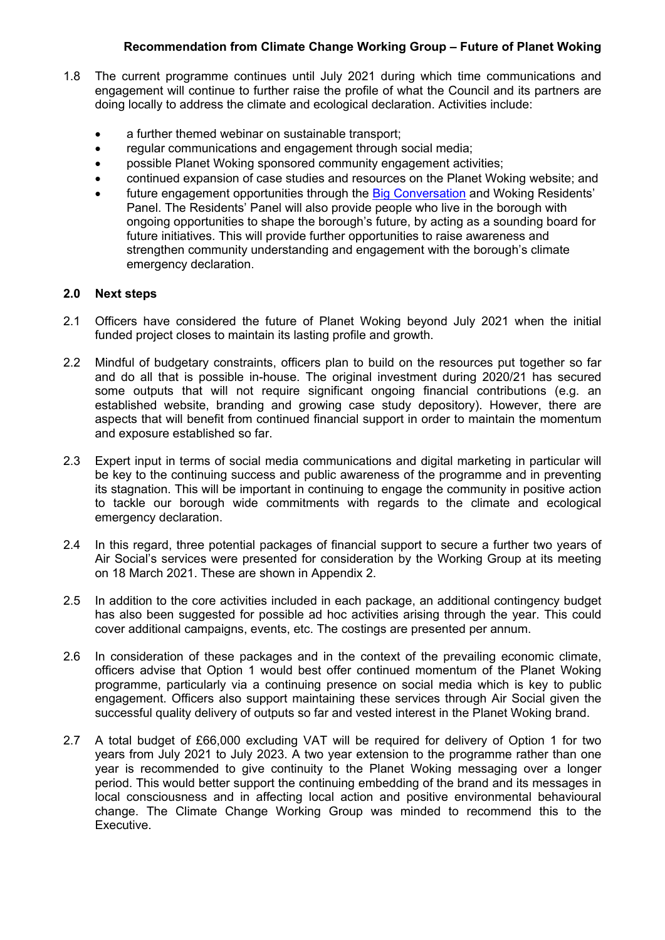## **Recommendation from Climate Change Working Group – Future of Planet Woking**

- 1.8 The current programme continues until July 2021 during which time communications and engagement will continue to further raise the profile of what the Council and its partners are doing locally to address the climate and ecological declaration. Activities include:
	- a further themed webinar on sustainable transport;
	- regular communications and engagement through social media;
	- possible Planet Woking sponsored community engagement activities;
	- continued expansion of case studies and resources on the Planet Woking website; and
	- future engagement opportunities through the Big [Conversation](http://www.woking.gov.uk/council-and-democracy/big-conversation) and Woking Residents' Panel. The Residents' Panel will also provide people who live in the borough with ongoing opportunities to shape the borough's future, by acting as a sounding board for future initiatives. This will provide further opportunities to raise awareness and strengthen community understanding and engagement with the borough's climate emergency declaration.

### **2.0 Next steps**

- 2.1 Officers have considered the future of Planet Woking beyond July 2021 when the initial funded project closes to maintain its lasting profile and growth.
- 2.2 Mindful of budgetary constraints, officers plan to build on the resources put together so far and do all that is possible in-house. The original investment during 2020/21 has secured some outputs that will not require significant ongoing financial contributions (e.g. an established website, branding and growing case study depository). However, there are aspects that will benefit from continued financial support in order to maintain the momentum and exposure established so far.
- 2.3 Expert input in terms of social media communications and digital marketing in particular will be key to the continuing success and public awareness of the programme and in preventing its stagnation. This will be important in continuing to engage the community in positive action to tackle our borough wide commitments with regards to the climate and ecological emergency declaration.
- 2.4 In this regard, three potential packages of financial support to secure a further two years of Air Social's services were presented for consideration by the Working Group at its meeting on 18 March 2021. These are shown in Appendix 2.
- 2.5 In addition to the core activities included in each package, an additional contingency budget has also been suggested for possible ad hoc activities arising through the year. This could cover additional campaigns, events, etc. The costings are presented per annum.
- 2.6 In consideration of these packages and in the context of the prevailing economic climate, officers advise that Option 1 would best offer continued momentum of the Planet Woking programme, particularly via a continuing presence on social media which is key to public engagement. Officers also support maintaining these services through Air Social given the successful quality delivery of outputs so far and vested interest in the Planet Woking brand.
- 2.7 A total budget of £66,000 excluding VAT will be required for delivery of Option 1 for two years from July 2021 to July 2023. A two year extension to the programme rather than one year is recommended to give continuity to the Planet Woking messaging over a longer period. This would better support the continuing embedding of the brand and its messages in local consciousness and in affecting local action and positive environmental behavioural change. The Climate Change Working Group was minded to recommend this to the Executive.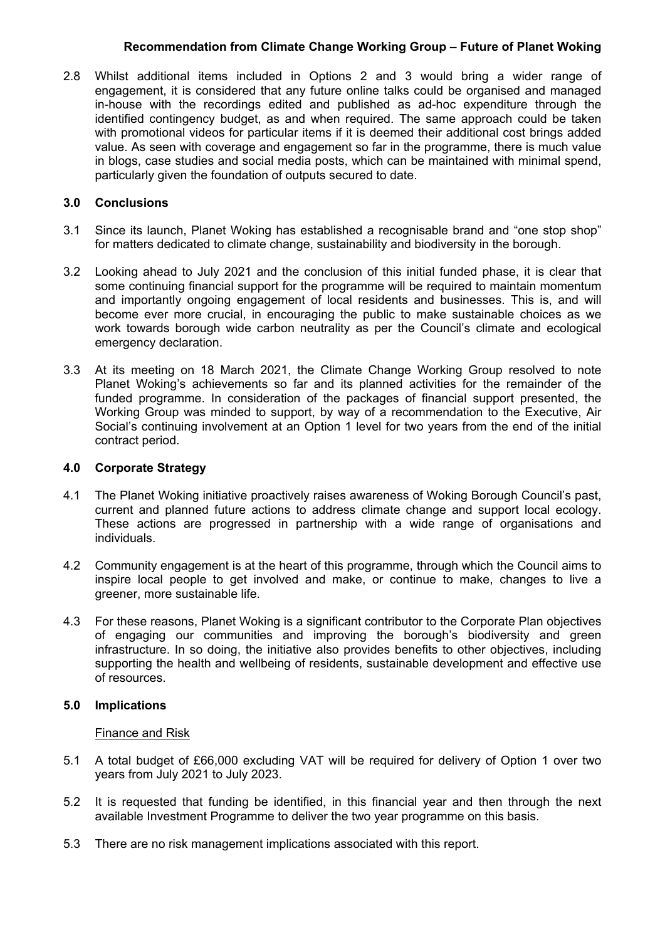## **Recommendation from Climate Change Working Group – Future of Planet Woking**

2.8 Whilst additional items included in Options 2 and 3 would bring a wider range of engagement, it is considered that any future online talks could be organised and managed in-house with the recordings edited and published as ad-hoc expenditure through the identified contingency budget, as and when required. The same approach could be taken with promotional videos for particular items if it is deemed their additional cost brings added value. As seen with coverage and engagement so far in the programme, there is much value in blogs, case studies and social media posts, which can be maintained with minimal spend, particularly given the foundation of outputs secured to date.

## **3.0 Conclusions**

- 3.1 Since its launch, Planet Woking has established a recognisable brand and "one stop shop" for matters dedicated to climate change, sustainability and biodiversity in the borough.
- 3.2 Looking ahead to July 2021 and the conclusion of this initial funded phase, it is clear that some continuing financial support for the programme will be required to maintain momentum and importantly ongoing engagement of local residents and businesses. This is, and will become ever more crucial, in encouraging the public to make sustainable choices as we work towards borough wide carbon neutrality as per the Council's climate and ecological emergency declaration.
- 3.3 At its meeting on 18 March 2021, the Climate Change Working Group resolved to note Planet Woking's achievements so far and its planned activities for the remainder of the funded programme. In consideration of the packages of financial support presented, the Working Group was minded to support, by way of a recommendation to the Executive, Air Social's continuing involvement at an Option 1 level for two years from the end of the initial contract period.

## **4.0 Corporate Strategy**

- 4.1 The Planet Woking initiative proactively raises awareness of Woking Borough Council's past, current and planned future actions to address climate change and support local ecology. These actions are progressed in partnership with a wide range of organisations and individuals.
- 4.2 Community engagement is at the heart of this programme, through which the Council aims to inspire local people to get involved and make, or continue to make, changes to live a greener, more sustainable life.
- 4.3 For these reasons, Planet Woking is a significant contributor to the Corporate Plan objectives of engaging our communities and improving the borough's biodiversity and green infrastructure. In so doing, the initiative also provides benefits to other objectives, including supporting the health and wellbeing of residents, sustainable development and effective use of resources.

## **5.0 Implications**

#### Finance and Risk

- 5.1 A total budget of £66,000 excluding VAT will be required for delivery of Option 1 over two years from July 2021 to July 2023.
- 5.2 It is requested that funding be identified, in this financial year and then through the next available Investment Programme to deliver the two year programme on this basis.
- 5.3 There are no risk management implications associated with this report.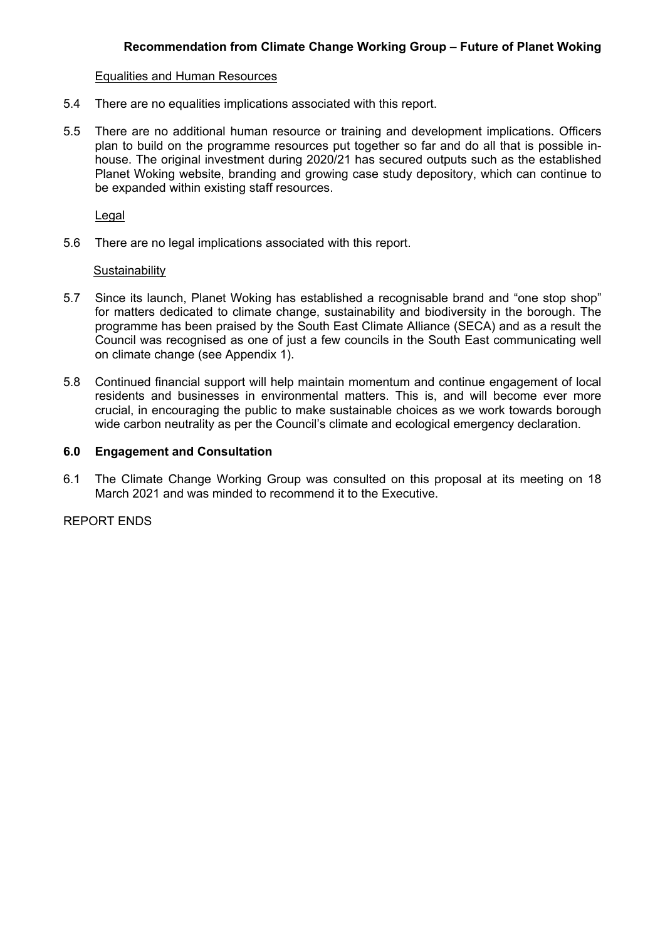#### Equalities and Human Resources

- 5.4 There are no equalities implications associated with this report.
- 5.5 There are no additional human resource or training and development implications. Officers plan to build on the programme resources put together so far and do all that is possible inhouse. The original investment during 2020/21 has secured outputs such as the established Planet Woking website, branding and growing case study depository, which can continue to be expanded within existing staff resources.

Legal

5.6 There are no legal implications associated with this report.

#### **Sustainability**

- 5.7 Since its launch, Planet Woking has established a recognisable brand and "one stop shop" for matters dedicated to climate change, sustainability and biodiversity in the borough. The programme has been praised by the South East Climate Alliance (SECA) and as a result the Council was recognised as one of just a few councils in the South East communicating well on climate change (see Appendix 1).
- 5.8 Continued financial support will help maintain momentum and continue engagement of local residents and businesses in environmental matters. This is, and will become ever more crucial, in encouraging the public to make sustainable choices as we work towards borough wide carbon neutrality as per the Council's climate and ecological emergency declaration.

### **6.0 Engagement and Consultation**

6.1 The Climate Change Working Group was consulted on this proposal at its meeting on 18 March 2021 and was minded to recommend it to the Executive.

REPORT ENDS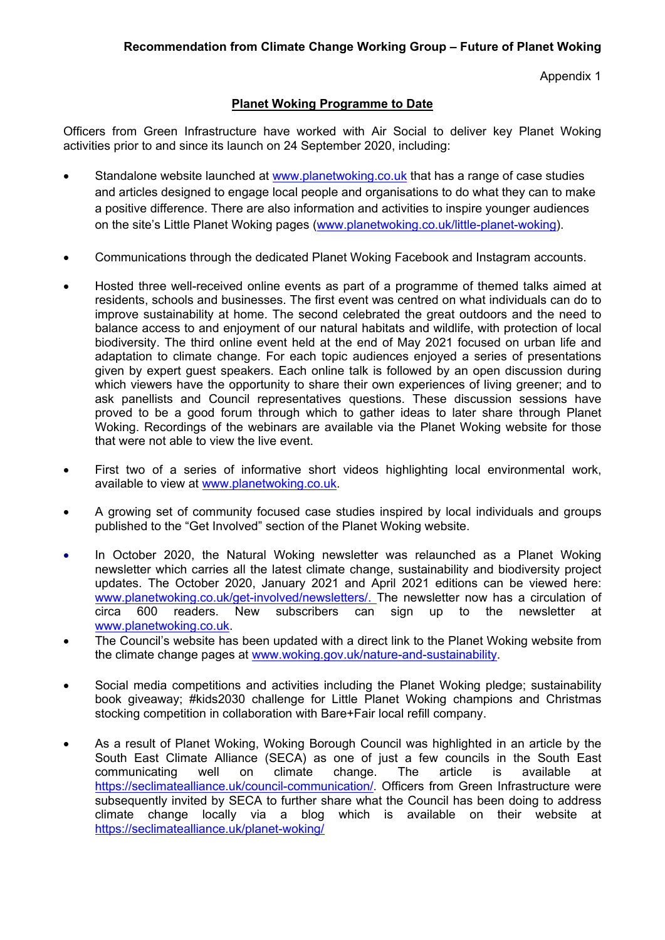Appendix 1

# **Planet Woking Programme to Date**

Officers from Green Infrastructure have worked with Air Social to deliver key Planet Woking activities prior to and since its launch on 24 September 2020, including:

- Standalone website launched at [www.planetwoking.co.uk](http://www.planetwoking.co.uk/) that has a range of case studies and articles designed to engage local people and organisations to do what they can to make a positive difference. There are also information and activities to inspire younger audiences on the site's Little Planet Woking pages ([www.planetwoking.co.uk/little-planet-woking](http://www.planetwoking.co.uk/little-planet-woking)).
- Communications through the dedicated Planet Woking Facebook and Instagram accounts.
- Hosted three well-received online events as part of a programme of themed talks aimed at residents, schools and businesses. The first event was centred on what individuals can do to improve sustainability at home. The second celebrated the great outdoors and the need to balance access to and enjoyment of our natural habitats and wildlife, with protection of local biodiversity. The third online event held at the end of May 2021 focused on urban life and adaptation to climate change. For each topic audiences enjoyed a series of presentations given by expert guest speakers. Each online talk is followed by an open discussion during which viewers have the opportunity to share their own experiences of living greener; and to ask panellists and Council representatives questions. These discussion sessions have proved to be a good forum through which to gather ideas to later share through Planet Woking. Recordings of the webinars are available via the Planet Woking website for those that were not able to view the live event.
- First two of a series of informative short videos highlighting local environmental work, available to view at [www.planetwoking.co.uk](http://www.planetwoking.co.uk/).
- A growing set of community focused case studies inspired by local individuals and groups published to the "Get Involved" section of the Planet Woking website.
- In October 2020, the Natural Woking newsletter was relaunched as a Planet Woking newsletter which carries all the latest climate change, sustainability and biodiversity project updates. The October 2020, January 2021 and April 2021 editions can be viewed here: [www.planetwoking.co.uk/get-involved/newsletters/.](http://www.planetwoking.co.uk/get-involved/newsletters/) The newsletter now has a circulation of circa 600 readers. New subscribers can sign up to the newsletter at [www.planetwoking.co.uk](http://www.planetwoking.co.uk/).
- The Council's website has been updated with a direct link to the Planet Woking website from the climate change pages at [www.woking.gov.uk/nature-and-sustainability](http://www.woking.gov.uk/nature-and-sustainability).
- Social media competitions and activities including the Planet Woking pledge; sustainability book giveaway; #kids2030 challenge for Little Planet Woking champions and Christmas stocking competition in collaboration with Bare+Fair local refill company.
- As a result of Planet Woking, Woking Borough Council was highlighted in an article by the South East Climate Alliance (SECA) as one of just a few councils in the South East communicating well on climate change. The article is available at <https://seclimatealliance.uk/council-communication/>. Officers from Green Infrastructure were subsequently invited by SECA to further share what the Council has been doing to address climate change locally via a blog which is available on their website at <https://seclimatealliance.uk/planet-woking/>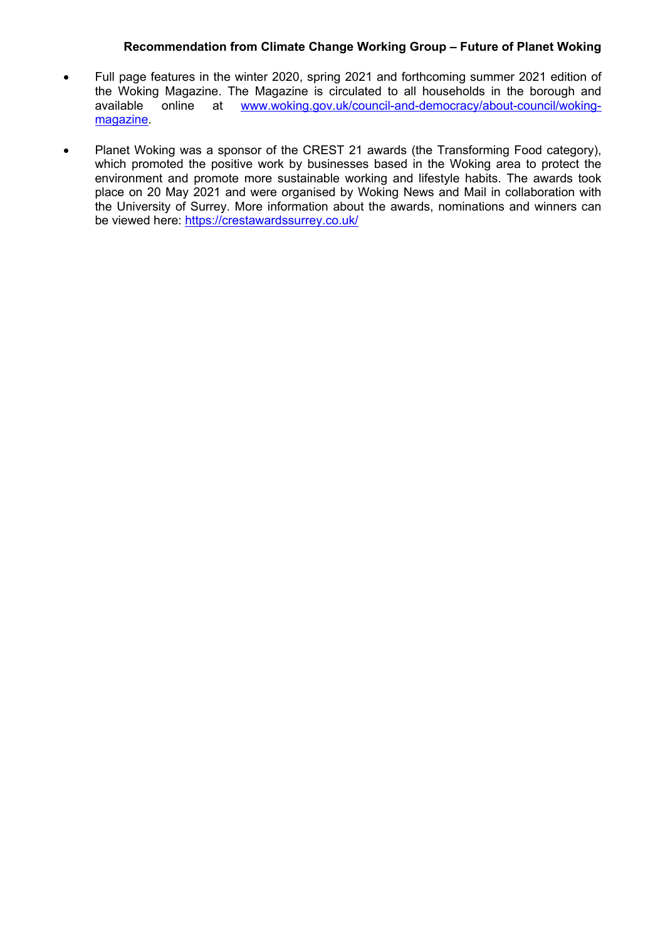### **Recommendation from Climate Change Working Group – Future of Planet Woking**

- Full page features in the winter 2020, spring 2021 and forthcoming summer 2021 edition of the Woking Magazine. The Magazine is circulated to all households in the borough and available online at www.woking.gov.uk/council-and-democracy/about-council/woking[www.woking.gov.uk/council-and-democracy/about-council/woking](www.woking.gov.uk/council-and-democracy/about-council/woking-magazine)[magazine.](www.woking.gov.uk/council-and-democracy/about-council/woking-magazine)
- Planet Woking was a sponsor of the CREST 21 awards (the Transforming Food category), which promoted the positive work by businesses based in the Woking area to protect the environment and promote more sustainable working and lifestyle habits. The awards took place on 20 May 2021 and were organised by Woking News and Mail in collaboration with the University of Surrey. More information about the awards, nominations and winners can be viewed here: <https://crestawardssurrey.co.uk/>